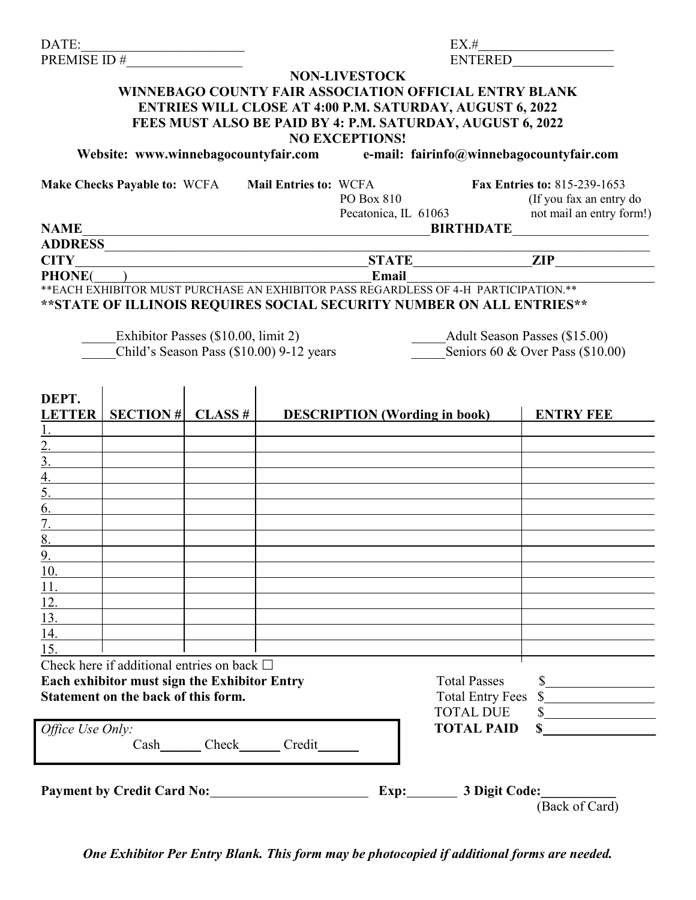| DATE:                                |                                                    |                                                                                                                      |  |                                  | EX.#                                                                                 |                                                                               |  |
|--------------------------------------|----------------------------------------------------|----------------------------------------------------------------------------------------------------------------------|--|----------------------------------|--------------------------------------------------------------------------------------|-------------------------------------------------------------------------------|--|
| PREMISE ID#                          |                                                    |                                                                                                                      |  | <b>ENTERED</b>                   |                                                                                      |                                                                               |  |
|                                      |                                                    |                                                                                                                      |  | <b>NON-LIVESTOCK</b>             |                                                                                      |                                                                               |  |
|                                      |                                                    |                                                                                                                      |  |                                  | <b>WINNEBAGO COUNTY FAIR ASSOCIATION OFFICIAL ENTRY BLANK</b>                        |                                                                               |  |
|                                      |                                                    |                                                                                                                      |  |                                  | ENTRIES WILL CLOSE AT 4:00 P.M. SATURDAY, AUGUST 6, 2022                             |                                                                               |  |
|                                      |                                                    |                                                                                                                      |  |                                  | FEES MUST ALSO BE PAID BY 4: P.M. SATURDAY, AUGUST 6, 2022                           |                                                                               |  |
|                                      |                                                    |                                                                                                                      |  | <b>NO EXCEPTIONS!</b>            |                                                                                      |                                                                               |  |
|                                      |                                                    |                                                                                                                      |  |                                  |                                                                                      | Website: www.winnebagocountyfair.com e-mail: fairinfo@winnebagocountyfair.com |  |
|                                      |                                                    |                                                                                                                      |  |                                  |                                                                                      |                                                                               |  |
|                                      | Make Checks Payable to: WCFA Mail Entries to: WCFA |                                                                                                                      |  |                                  |                                                                                      | Fax Entries to: 815-239-1653                                                  |  |
|                                      |                                                    |                                                                                                                      |  | PO Box 810                       |                                                                                      | (If you fax an entry do                                                       |  |
|                                      |                                                    |                                                                                                                      |  | Pecatonica, IL 61063             |                                                                                      | not mail an entry form!)                                                      |  |
| <b>NAME</b>                          |                                                    | <u> 1989 - Johann John Stone, meilich aus der Stone († 1989)</u>                                                     |  |                                  | <b>BIRTHDATE</b>                                                                     |                                                                               |  |
|                                      |                                                    |                                                                                                                      |  |                                  |                                                                                      |                                                                               |  |
| <b>CITY</b>                          |                                                    | <u> 1989 - Johann Barn, mars ar breithinn ar chuid ann an t-Alban ann an t-Alban ann an t-Alban ann an t-Alban a</u> |  |                                  |                                                                                      | STATE ZIP                                                                     |  |
|                                      | <b>PHONE</b> ( )                                   |                                                                                                                      |  | Email                            |                                                                                      |                                                                               |  |
|                                      |                                                    |                                                                                                                      |  |                                  | ** EACH EXHIBITOR MUST PURCHASE AN EXHIBITOR PASS REGARDLESS OF 4-H PARTICIPATION.** |                                                                               |  |
|                                      |                                                    |                                                                                                                      |  |                                  | ** STATE OF ILLINOIS REQUIRES SOCIAL SECURITY NUMBER ON ALL ENTRIES**                |                                                                               |  |
|                                      |                                                    |                                                                                                                      |  |                                  |                                                                                      |                                                                               |  |
|                                      |                                                    | Exhibitor Passes (\$10.00, limit 2)                                                                                  |  |                                  |                                                                                      | Adult Season Passes (\$15.00)                                                 |  |
|                                      |                                                    | Child's Season Pass (\$10.00) 9-12 years                                                                             |  | Seniors 60 & Over Pass (\$10.00) |                                                                                      |                                                                               |  |
|                                      |                                                    |                                                                                                                      |  |                                  |                                                                                      |                                                                               |  |
|                                      |                                                    |                                                                                                                      |  |                                  |                                                                                      |                                                                               |  |
| DEPT.                                |                                                    |                                                                                                                      |  |                                  |                                                                                      |                                                                               |  |
| <b>LETTER</b>                        | $SECTION \#$                                       | CLASS#                                                                                                               |  |                                  | <b>DESCRIPTION</b> (Wording in book)                                                 | <b>ENTRY FEE</b>                                                              |  |
|                                      |                                                    |                                                                                                                      |  |                                  |                                                                                      |                                                                               |  |
| $\overline{2}$ .                     |                                                    |                                                                                                                      |  |                                  |                                                                                      |                                                                               |  |
| $\overline{3}$ .                     |                                                    |                                                                                                                      |  |                                  |                                                                                      |                                                                               |  |
|                                      |                                                    |                                                                                                                      |  |                                  |                                                                                      |                                                                               |  |
| $\overline{4}$ .<br>$\overline{5}$ . |                                                    |                                                                                                                      |  |                                  |                                                                                      |                                                                               |  |
|                                      |                                                    |                                                                                                                      |  |                                  |                                                                                      |                                                                               |  |
| 6.                                   |                                                    |                                                                                                                      |  |                                  |                                                                                      |                                                                               |  |
| $\overline{7}$ .                     |                                                    |                                                                                                                      |  |                                  |                                                                                      |                                                                               |  |
| 8.                                   |                                                    |                                                                                                                      |  |                                  |                                                                                      |                                                                               |  |
| 9 <sub>1</sub>                       |                                                    |                                                                                                                      |  |                                  |                                                                                      |                                                                               |  |
| 10.                                  |                                                    |                                                                                                                      |  |                                  |                                                                                      |                                                                               |  |
| <u>11.</u>                           |                                                    |                                                                                                                      |  |                                  |                                                                                      |                                                                               |  |
| <u>12.</u>                           |                                                    |                                                                                                                      |  |                                  |                                                                                      |                                                                               |  |
| <u>13.</u>                           |                                                    |                                                                                                                      |  |                                  |                                                                                      |                                                                               |  |
| 14.                                  |                                                    |                                                                                                                      |  |                                  |                                                                                      |                                                                               |  |
| 15.                                  |                                                    |                                                                                                                      |  |                                  |                                                                                      |                                                                               |  |
|                                      | Check here if additional entries on back $\Box$    |                                                                                                                      |  |                                  |                                                                                      |                                                                               |  |
|                                      | Each exhibitor must sign the Exhibitor Entry       |                                                                                                                      |  |                                  | <b>Total Passes</b>                                                                  | $\frac{1}{2}$                                                                 |  |
|                                      | Statement on the back of this form.                |                                                                                                                      |  |                                  | <b>Total Entry Fees</b>                                                              | $\frac{\text{S}}{\text{S}}$                                                   |  |
|                                      |                                                    |                                                                                                                      |  |                                  | <b>TOTAL DUE</b>                                                                     |                                                                               |  |
| Office Use Only:                     |                                                    |                                                                                                                      |  |                                  | <b>TOTAL PAID</b>                                                                    |                                                                               |  |
|                                      |                                                    | Cash Check Credit                                                                                                    |  |                                  |                                                                                      |                                                                               |  |
|                                      |                                                    |                                                                                                                      |  |                                  |                                                                                      |                                                                               |  |
|                                      |                                                    |                                                                                                                      |  |                                  |                                                                                      |                                                                               |  |
|                                      |                                                    |                                                                                                                      |  |                                  |                                                                                      |                                                                               |  |
|                                      | Payment by Credit Card No:                         |                                                                                                                      |  |                                  | Exp: 3 Digit Code:                                                                   |                                                                               |  |
|                                      |                                                    |                                                                                                                      |  |                                  |                                                                                      | (Back of Card)                                                                |  |

*One Exhibitor Per Entry Blank. This form may be photocopied if additional forms are needed.*